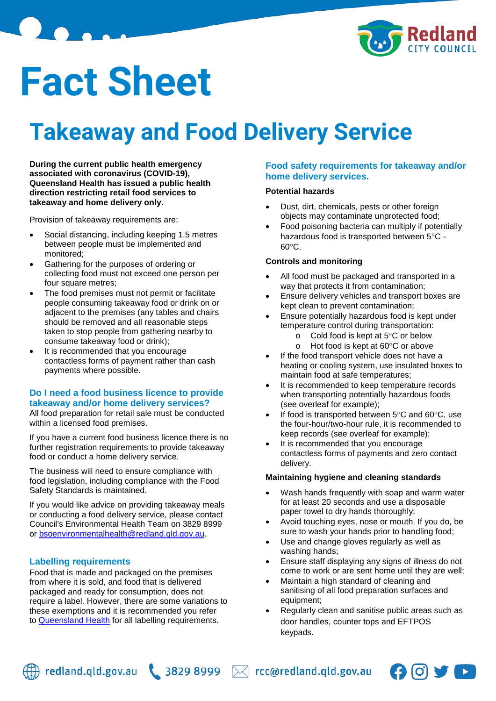

# **Fact Sheet**

# **Takeaway and Food Delivery Service**

**During the current public health emergency associated with coronavirus (COVID-19), Queensland Health has issued a public health direction restricting retail food services to takeaway and home delivery only.**

Provision of takeaway requirements are:

- Social distancing, including keeping 1.5 metres between people must be implemented and monitored;
- Gathering for the purposes of ordering or collecting food must not exceed one person per four square metres;
- The food premises must not permit or facilitate people consuming takeaway food or drink on or adjacent to the premises (any tables and chairs should be removed and all reasonable steps taken to stop people from gathering nearby to consume takeaway food or drink);
- It is recommended that you encourage contactless forms of payment rather than cash payments where possible.

# **Do I need a food business licence to provide takeaway and/or home delivery services?**

All food preparation for retail sale must be conducted within a licensed food premises.

If you have a current food business licence there is no further registration requirements to provide takeaway food or conduct a home delivery service.

The business will need to ensure compliance with food legislation, including compliance with the Food Safety Standards is maintained.

If you would like advice on providing takeaway meals or conducting a food delivery service, please contact Council's Environmental Health Team on 3829 8999 or [bsoenvironmentalhealth@redland.qld.gov.au.](mailto:bsoenvironmentalhealth@redland.qld.gov.au)

# **Labelling requirements**

Food that is made and packaged on the premises from where it is sold, and food that is delivered packaged and ready for consumption, does not require a label. However, there are some variations to these exemptions and it is recommended you refer to [Queensland Health](https://www.health.qld.gov.au/public-health/industry-environment/food-safety/requirements/labelling) for all labelling requirements.

## **Food safety requirements for takeaway and/or home delivery services.**

# **Potential hazards**

- Dust, dirt, chemicals, pests or other foreign objects may contaminate unprotected food;
- Food poisoning bacteria can multiply if potentially hazardous food is transported between 5°C - 60°C.

#### **Controls and monitoring**

- All food must be packaged and transported in a way that protects it from contamination;
- Ensure delivery vehicles and transport boxes are kept clean to prevent contamination;
- Ensure potentially hazardous food is kept under temperature control during transportation:
	- o Cold food is kept at 5°C or below
	- o Hot food is kept at 60°C or above
- If the food transport vehicle does not have a heating or cooling system, use insulated boxes to maintain food at safe temperatures;
- It is recommended to keep temperature records when transporting potentially hazardous foods (see overleaf for example);
- If food is transported between  $5^{\circ}$ C and  $60^{\circ}$ C, use the four-hour/two-hour rule, it is recommended to keep records (see overleaf for example);
- It is recommended that you encourage contactless forms of payments and zero contact delivery.

## **Maintaining hygiene and cleaning standards**

- Wash hands frequently with soap and warm water for at least 20 seconds and use a disposable paper towel to dry hands thoroughly;
- Avoid touching eyes, nose or mouth. If you do, be sure to wash your hands prior to handling food;
- Use and change gloves regularly as well as washing hands;
- Ensure staff displaying any signs of illness do not come to work or are sent home until they are well;
- Maintain a high standard of cleaning and sanitising of all food preparation surfaces and equipment;
- Regularly clean and sanitise public areas such as door handles, counter tops and EFTPOS keypads.



redland.qld.gov.au  $\bigcup$  3829 8999  $\bowtie$  rcc@redland.qld.gov.au